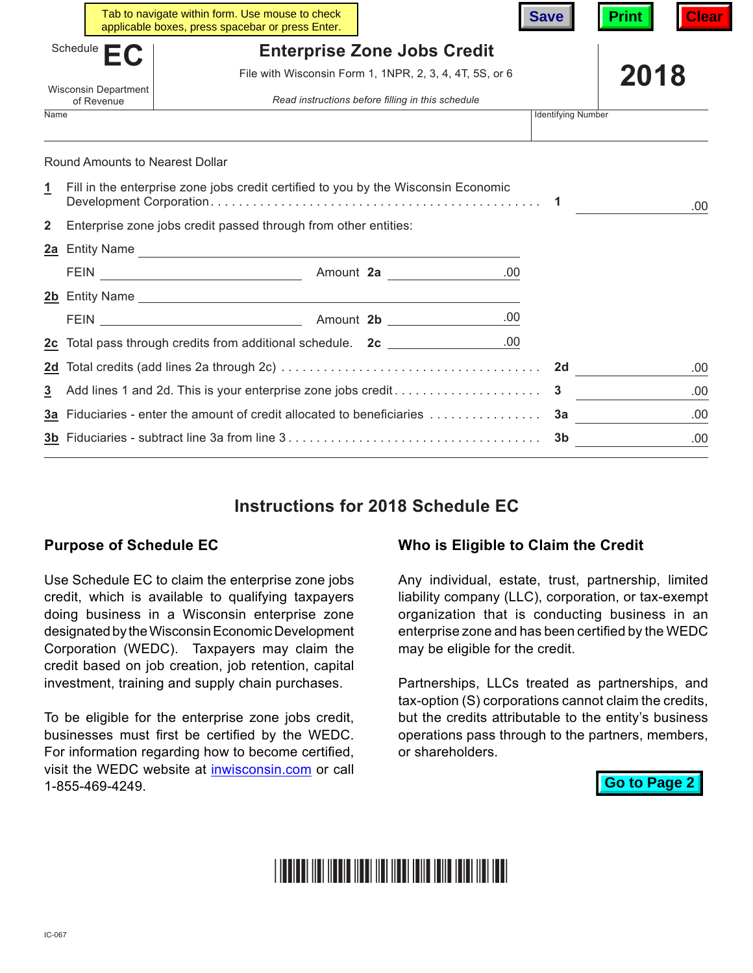|                                           |                                                                 | Tab to navigate within form. Use mouse to check<br>applicable boxes, press spacebar or press Enter. |                                                         | <b>Save</b>               | Clear<br><b>Print</b> |
|-------------------------------------------|-----------------------------------------------------------------|-----------------------------------------------------------------------------------------------------|---------------------------------------------------------|---------------------------|-----------------------|
| Schedule                                  |                                                                 | <b>Enterprise Zone Jobs Credit</b>                                                                  |                                                         |                           |                       |
|                                           |                                                                 |                                                                                                     | File with Wisconsin Form 1, 1NPR, 2, 3, 4, 4T, 5S, or 6 |                           | 2018                  |
| <b>Wisconsin Department</b><br>of Revenue |                                                                 | Read instructions before filling in this schedule                                                   |                                                         |                           |                       |
| <b>Name</b>                               |                                                                 |                                                                                                     |                                                         | <b>Identifying Number</b> |                       |
|                                           | Round Amounts to Nearest Dollar                                 |                                                                                                     |                                                         |                           |                       |
| 1                                         |                                                                 | Fill in the enterprise zone jobs credit certified to you by the Wisconsin Economic                  |                                                         |                           | .00                   |
| $\overline{2}$                            | Enterprise zone jobs credit passed through from other entities: |                                                                                                     |                                                         |                           |                       |
|                                           |                                                                 | 2a Entity Name                                                                                      |                                                         |                           |                       |
|                                           |                                                                 |                                                                                                     |                                                         |                           |                       |
|                                           |                                                                 | 2b Entity Name                                                                                      |                                                         |                           |                       |
|                                           |                                                                 |                                                                                                     |                                                         |                           |                       |
|                                           |                                                                 | <u>2c</u> Total pass through credits from additional schedule. 2c _______________                   | .00                                                     |                           |                       |
|                                           |                                                                 |                                                                                                     |                                                         |                           | .00                   |
| 3                                         |                                                                 |                                                                                                     |                                                         |                           | .00                   |
|                                           |                                                                 |                                                                                                     |                                                         |                           | .00                   |
|                                           |                                                                 |                                                                                                     |                                                         | -3b                       | .00                   |

# **Instructions for 2018 Schedule EC**

#### **Purpose of Schedule EC**

Use Schedule EC to claim the enterprise zone jobs credit, which is available to qualifying taxpayers doing business in a Wisconsin enterprise zone designated by the Wisconsin Economic Development Corporation (WEDC). Taxpayers may claim the credit based on job creation, job retention, capital investment, training and supply chain purchases.

To be eligible for the enterprise zone jobs credit, businesses must first be certified by the WEDC. For information regarding how to become certified, visit the WEDC website at [inwisconsin.com](http://www.inwisconsin.com) or call 1-855-469-4249.

#### **Who is Eligible to Claim the Credit**

Any individual, estate, trust, partnership, limited liability company (LLC), corporation, or tax-exempt organization that is conducting business in an enterprise zone and has been certified by the WEDC may be eligible for the credit.

Partnerships, LLCs treated as partnerships, and tax-option (S) corporations cannot claim the credits, but the credits attributable to the entity's business operations pass through to the partners, members, or shareholders.

**Go to Page 2**

# <u>THE TELEVISION OF THE TELEVISION OF THE TELEVISION OF THE TELEVISION OF THE TELEVISION OF THE TELEVISION OF T</u>